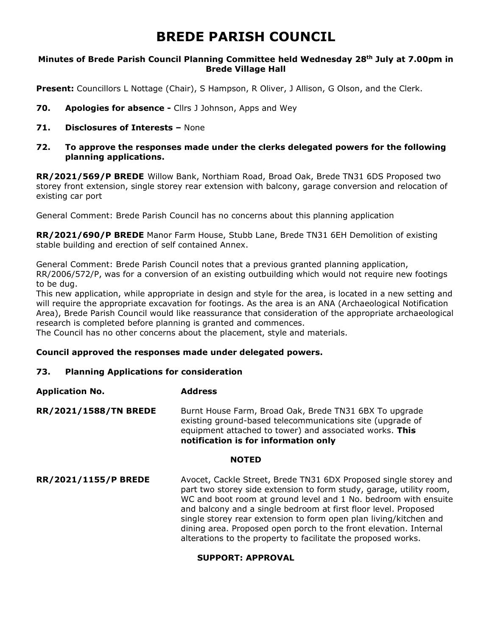# **BREDE PARISH COUNCIL**

## **Minutes of Brede Parish Council Planning Committee held Wednesday 28th July at 7.00pm in Brede Village Hall**

**Present:** Councillors L Nottage (Chair), S Hampson, R Oliver, J Allison, G Olson, and the Clerk.

- **70. Apologies for absence -** Cllrs J Johnson, Apps and Wey
- **71. Disclosures of Interests –** None

## **72. To approve the responses made under the clerks delegated powers for the following planning applications.**

**RR/2021/569/P BREDE** Willow Bank, Northiam Road, Broad Oak, Brede TN31 6DS Proposed two storey front extension, single storey rear extension with balcony, garage conversion and relocation of existing car port

General Comment: Brede Parish Council has no concerns about this planning application

**RR/2021/690/P BREDE** Manor Farm House, Stubb Lane, Brede TN31 6EH Demolition of existing stable building and erection of self contained Annex.

General Comment: Brede Parish Council notes that a previous granted planning application, RR/2006/572/P, was for a conversion of an existing outbuilding which would not require new footings to be dug.

This new application, while appropriate in design and style for the area, is located in a new setting and will require the appropriate excavation for footings. As the area is an ANA (Archaeological Notification Area), Brede Parish Council would like reassurance that consideration of the appropriate archaeological research is completed before planning is granted and commences.

The Council has no other concerns about the placement, style and materials.

## **Council approved the responses made under delegated powers.**

## **73. Planning Applications for consideration**

# **Application No. Address**

RR/2021/1588/TN BREDE Burnt House Farm, Broad Oak, Brede TN31 6BX To upgrade existing ground-based telecommunications site (upgrade of equipment attached to tower) and associated works. **This notification is for information only**

#### **NOTED**

**RR/2021/1155/P BREDE** Avocet, Cackle Street, Brede TN31 6DX Proposed single storey and part two storey side extension to form study, garage, utility room, WC and boot room at ground level and 1 No. bedroom with ensuite and balcony and a single bedroom at first floor level. Proposed single storey rear extension to form open plan living/kitchen and dining area. Proposed open porch to the front elevation. Internal alterations to the property to facilitate the proposed works.

# **SUPPORT: APPROVAL**